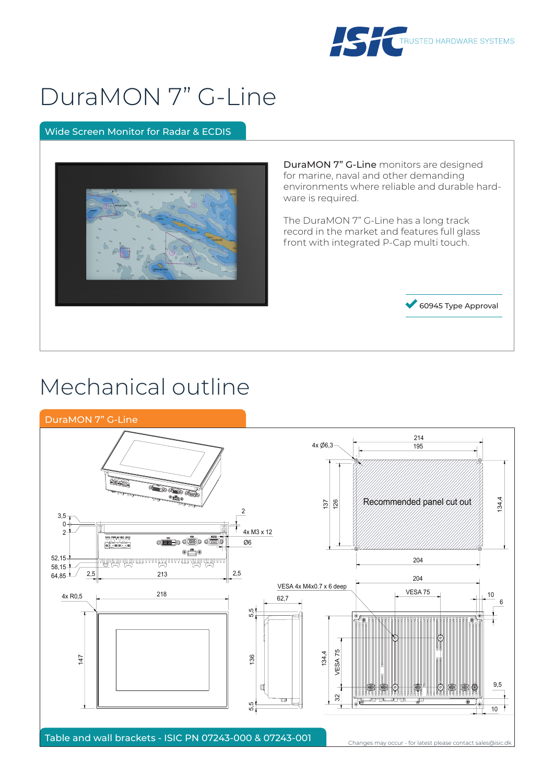

# DuraMON 7" G-Line

### Wide Screen Monitor for Radar & ECDIS



DuraMON 7" G-Line monitors are designed for marine, naval and other demanding environments where reliable and durable hardware is required.

The DuraMON 7" G-Line has a long track record in the market and features full glass front with integrated P-Cap multi touch.



## Mechanical outline